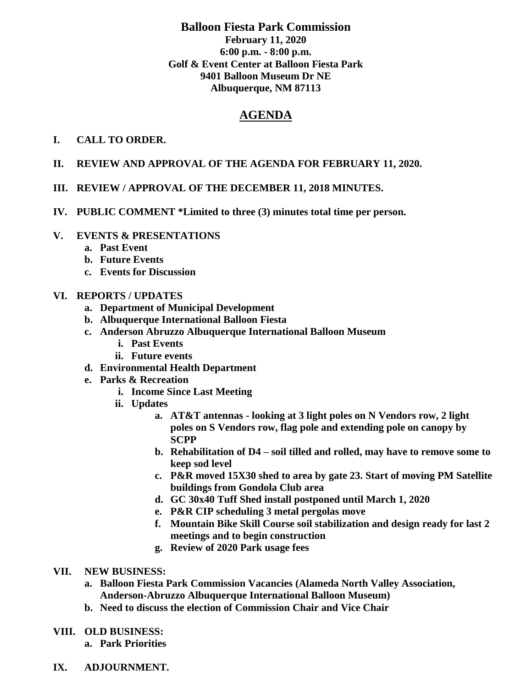## **Balloon Fiesta Park Commission February 11, 2020 6:00 p.m. - 8:00 p.m. Golf & Event Center at Balloon Fiesta Park 9401 Balloon Museum Dr NE Albuquerque, NM 87113**

# **AGENDA**

### **I. CALL TO ORDER.**

- **II. REVIEW AND APPROVAL OF THE AGENDA FOR FEBRUARY 11, 2020.**
- **III. REVIEW / APPROVAL OF THE DECEMBER 11, 2018 MINUTES.**
- **IV. PUBLIC COMMENT \*Limited to three (3) minutes total time per person.**

### **V. EVENTS & PRESENTATIONS**

- **a. Past Event**
- **b. Future Events**
- **c. Events for Discussion**

### **VI. REPORTS / UPDATES**

- **a. Department of Municipal Development**
- **b. Albuquerque International Balloon Fiesta**
- **c. Anderson Abruzzo Albuquerque International Balloon Museum**
	- **i. Past Events**
	- **ii. Future events**
- **d. Environmental Health Department**
- **e. Parks & Recreation** 
	- **i. Income Since Last Meeting**
	- **ii. Updates**
		- **a. AT&T antennas - looking at 3 light poles on N Vendors row, 2 light poles on S Vendors row, flag pole and extending pole on canopy by SCPP**
		- **b. Rehabilitation of D4 – soil tilled and rolled, may have to remove some to keep sod level**
		- **c. P&R moved 15X30 shed to area by gate 23. Start of moving PM Satellite buildings from Gondola Club area**
		- **d. GC 30x40 Tuff Shed install postponed until March 1, 2020**
		- **e. P&R CIP scheduling 3 metal pergolas move**
		- **f. Mountain Bike Skill Course soil stabilization and design ready for last 2 meetings and to begin construction**
		- **g. Review of 2020 Park usage fees**
- **VII. NEW BUSINESS:**
	- **a. Balloon Fiesta Park Commission Vacancies (Alameda North Valley Association, Anderson-Abruzzo Albuquerque International Balloon Museum)**
	- **b. Need to discuss the election of Commission Chair and Vice Chair**
- **VIII. OLD BUSINESS:** 
	- **a. Park Priorities**
- **IX. ADJOURNMENT.**